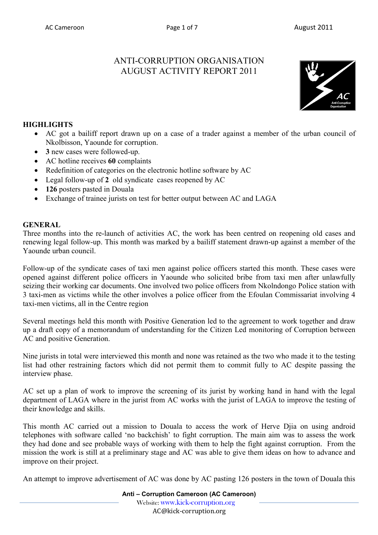# ANTI-CORRUPTION ORGANISATION AUGUST ACTIVITY REPORT 2011



# **HIGHLIGHTS**

- AC got a bailiff report drawn up on a case of a trader against a member of the urban council of Nkolbisson, Yaounde for corruption.
- **3** new cases were followed-up.
- AC hotline receives **60** complaints
- Redefinition of categories on the electronic hotline software by AC
- Legal follow-up of **2** old syndicate cases reopened by AC
- **126** posters pasted in Douala
- Exchange of trainee jurists on test for better output between AC and LAGA

## **GENERAL**

Three months into the re-launch of activities AC, the work has been centred on reopening old cases and renewing legal follow-up. This month was marked by a bailiff statement drawn-up against a member of the Yaounde urban council.

Follow-up of the syndicate cases of taxi men against police officers started this month. These cases were opened against different police officers in Yaounde who solicited bribe from taxi men after unlawfully seizing their working car documents. One involved two police officers from Nkolndongo Police station with 3 taxi-men as victims while the other involves a police officer from the Efoulan Commissariat involving 4 taxi-men victims, all in the Centre region

Several meetings held this month with Positive Generation led to the agreement to work together and draw up a draft copy of a memorandum of understanding for the Citizen Led monitoring of Corruption between AC and positive Generation.

Nine jurists in total were interviewed this month and none was retained as the two who made it to the testing list had other restraining factors which did not permit them to commit fully to AC despite passing the interview phase.

AC set up a plan of work to improve the screening of its jurist by working hand in hand with the legal department of LAGA where in the jurist from AC works with the jurist of LAGA to improve the testing of their knowledge and skills.

This month AC carried out a mission to Douala to access the work of Herve Djia on using android telephones with software called 'no backchish' to fight corruption. The main aim was to assess the work they had done and see probable ways of working with them to help the fight against corruption. From the mission the work is still at a preliminary stage and AC was able to give them ideas on how to advance and improve on their project.

An attempt to improve advertisement of AC was done by AC pasting 126 posters in the town of Douala this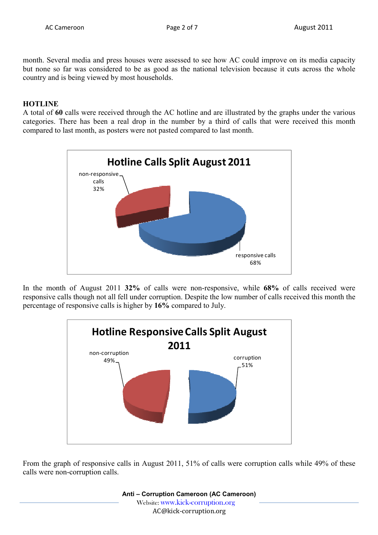month. Several media and press houses were assessed to see how AC could improve on its media capacity but none so far was considered to be as good as the national television because it cuts across the whole country and is being viewed by most households.

### **HOTLINE**

A total of **60** calls were received through the AC hotline and are illustrated by the graphs under the various categories. There has been a real drop in the number by a third of calls that were received this month compared to last month, as posters were not pasted compared to last month.



In the month of August 2011 **32%** of calls were non-responsive, while **68%** of calls received were responsive calls though not all fell under corruption. Despite the low number of calls received this month the percentage of responsive calls is higher by **16%** compared to July.



From the graph of responsive calls in August 2011, 51% of calls were corruption calls while 49% of these calls were non-corruption calls.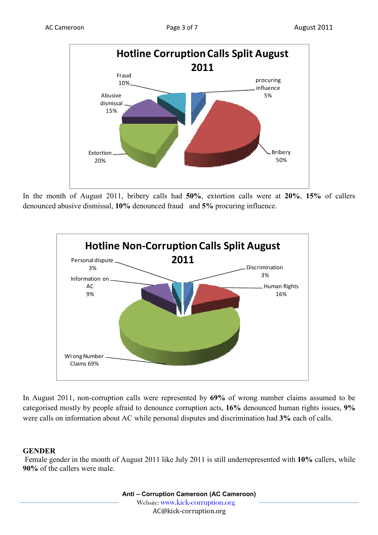

In the month of August 2011, bribery calls had **50%**, extortion calls were at **20%**, **15%** of callers denounced abusive dismissal, **10%** denounced fraud and **5%** procuring influence.



In August 2011, non-corruption calls were represented by **69%** of wrong number claims assumed to be categorised mostly by people afraid to denounce corruption acts, **16%** denounced human rights issues, **9%** were calls on information about AC while personal disputes and discrimination had **3%** each of calls.

### **GENDER**

 Female gender in the month of August 2011 like July 2011 is still underrepresented with **10%** callers, while **90%** of the callers were male.

> **Anti – Corruption Cameroon (AC Cameroon)** Website: www.kick-corruption.org AC@kick-corruption.org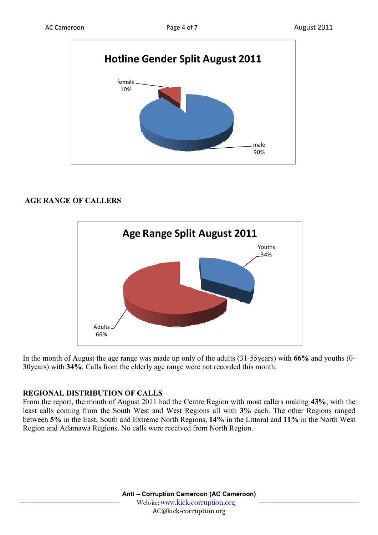

## **AGE RANGE OF CALLERS**



In the month of August the age range was made up only of the adults (31-55years) with **66%** and youths (0- 30years) with **34%**. Calls from the elderly age range were not recorded this month.

### **REGIONAL DISTRIBUTION OF CALLS**

From the report, the month of August 2011 had the Centre Region with most callers making **43%**, with the least calls coming from the South West and West Regions all with **3%** each. The other Regions ranged between **5%** in the East, South and Extreme North Regions, **14%** in the Littoral and **11%** in the North West Region and Adamawa Regions. No calls were received from North Region.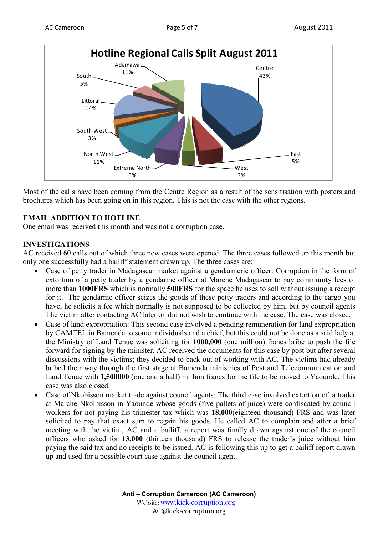

Most of the calls have been coming from the Centre Region as a result of the sensitisation with posters and brochures which has been going on in this region. This is not the case with the other regions.

# **EMAIL ADDITION TO HOTLINE**

One email was received this month and was not a corruption case.

# **INVESTIGATIONS**

AC received 60 calls out of which three new cases were opened. The three cases followed up this month but only one successfully had a bailiff statement drawn up. The three cases are:

- Case of petty trader in Madagascar market against a gendarmerie officer: Corruption in the form of extortion of a petty trader by a gendarme officer at Marche Madagascar to pay community fees of more than **1000FRS** which is normally **500FRS** for the space he uses to sell without issuing a receipt for it. The gendarme officer seizes the goods of these petty traders and according to the cargo you have, he solicits a fee which normally is not supposed to be collected by him, but by council agents The victim after contacting AC later on did not wish to continue with the case. The case was closed.
- Case of land expropriation: This second case involved a pending remuneration for land expropriation by CAMTEL in Bamenda to some individuals and a chief, but this could not be done as a said lady at the Ministry of Land Tenue was soliciting for **1000,000** (one million) francs bribe to push the file forward for signing by the minister. AC received the documents for this case by post but after several discussions with the victims; they decided to back out of working with AC. The victims had already bribed their way through the first stage at Bamenda ministries of Post and Telecommunication and Land Tenue with **1,500000** (one and a half) million francs for the file to be moved to Yaounde. This case was also closed.
- Case of Nkobisson market trade against council agents: The third case involved extortion of a trader at Marche Nkolbisson in Yaounde whose goods (five pallets of juice) were confiscated by council workers for not paying his trimester tax which was **18,000**(eighteen thousand) FRS and was later solicited to pay that exact sum to regain his goods. He called AC to complain and after a brief meeting with the victim, AC and a bailiff, a report was finally drawn against one of the council officers who asked for **13,000** (thirteen thousand) FRS to release the trader's juice without him paying the said tax and no receipts to be issued. AC is following this up to get a bailiff report drawn up and used for a possible court case against the council agent.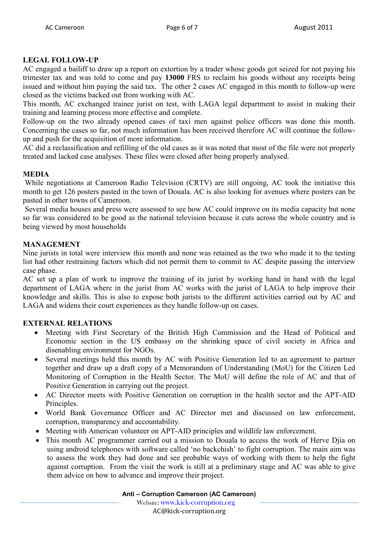### **LEGAL FOLLOW-UP**

AC engaged a bailiff to draw up a report on extortion by a trader whose goods got seized for not paying his trimester tax and was told to come and pay **13000** FRS to reclaim his goods without any receipts being issued and without him paying the said tax. The other 2 cases AC engaged in this month to follow-up were closed as the victims backed out from working with AC.

This month, AC exchanged trainee jurist on test, with LAGA legal department to assist in making their training and learning process more effective and complete.

Follow-up on the two already opened cases of taxi men against police officers was done this month. Concerning the cases so far, not much information has been received therefore AC will continue the followup and push for the acquisition of more information.

AC did a reclassification and refilling of the old cases as it was noted that most of the file were not properly treated and lacked case analyses. These files were closed after being properly analysed.

# **MEDIA**

 While negotiations at Cameroon Radio Television (CRTV) are still ongoing, AC took the initiative this month to get 126 posters pasted in the town of Douala. AC is also looking for avenues where posters can be pasted in other towns of Cameroon.

 Several media houses and press were assessed to see how AC could improve on its media capacity but none so far was considered to be good as the national television because it cuts across the whole country and is being viewed by most households

## **MANAGEMENT**

Nine jurists in total were interview this month and none was retained as the two who made it to the testing list had other restraining factors which did not permit them to commit to AC despite passing the interview case phase.

AC set up a plan of work to improve the training of its jurist by working hand in hand with the legal department of LAGA where in the jurist from AC works with the jurist of LAGA to help improve their knowledge and skills. This is also to expose both jurists to the different activities carried out by AC and LAGA and widens their court experiences as they handle follow-up on cases.

# **EXTERNAL RELATIONS**

- Meeting with First Secretary of the British High Commission and the Head of Political and Economic section in the US embassy on the shrinking space of civil society in Africa and disenabling environment for NGOs.
- Several meetings held this month by AC with Positive Generation led to an agreement to partner together and draw up a draft copy of a Memorandum of Understanding (MoU) for the Citizen Led Monitoring of Corruption in the Health Sector. The MoU will define the role of AC and that of Positive Generation in carrying out the project.
- AC Director meets with Positive Generation on corruption in the health sector and the APT-AID Principles.
- World Bank Governance Officer and AC Director met and discussed on law enforcement, corruption, transparency and accountability.
- Meeting with American volunteer on APT-AID principles and wildlife law enforcement.
- This month AC programmer carried out a mission to Douala to access the work of Herve Djia on using android telephones with software called 'no backchish' to fight corruption. The main aim was to assess the work they had done and see probable ways of working with them to help the fight against corruption. From the visit the work is still at a preliminary stage and AC was able to give them advice on how to advance and improve their project.